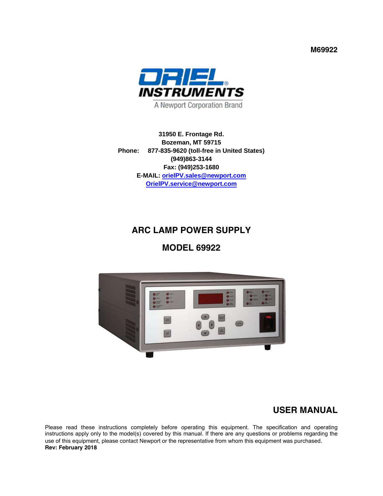**M69922**



**31950 E. Frontage Rd. Bozeman, MT 59715 Phone: 877-835-9620 (toll-free in United States) (949)863-3144 Fax: (949)253-1680 E-MAIL: orielPV.sales@newport.com OrielPV.service@newport.com** 

# **ARC LAMP POWER SUPPLY**

## **MODEL 69922**



## **USER MANUAL**

Please read these instructions completely before operating this equipment. The specification and operating instructions apply only to the model(s) covered by this manual. If there are any questions or problems regarding the use of this equipment, please contact Newport or the representative from whom this equipment was purchased. **Rev: February 2018**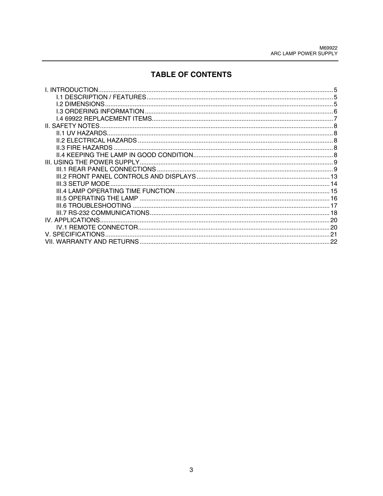# **TABLE OF CONTENTS**

| I. INTRODUCTION.        |    |
|-------------------------|----|
|                         |    |
| <b>I.2 DIMENSIONS</b>   |    |
|                         |    |
|                         |    |
| <b>II. SAFETY NOTES</b> |    |
|                         |    |
|                         |    |
|                         |    |
|                         |    |
|                         |    |
|                         |    |
|                         |    |
| III.3 SETUP MODE        |    |
|                         |    |
|                         |    |
|                         |    |
|                         |    |
|                         |    |
|                         |    |
| V. SPECIFICATIONS.      |    |
|                         | 22 |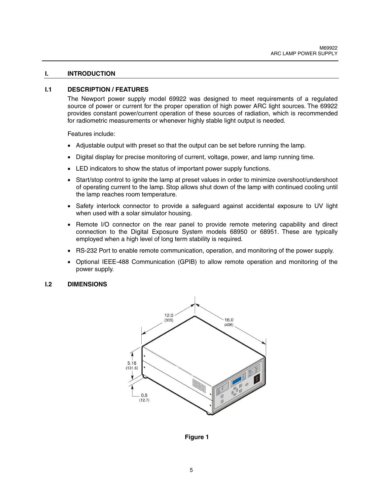#### **I. INTRODUCTION**

#### **I.1 DESCRIPTION / FEATURES**

The Newport power supply model 69922 was designed to meet requirements of a regulated source of power or current for the proper operation of high power ARC light sources. The 69922 provides constant power/current operation of these sources of radiation, which is recommended for radiometric measurements or whenever highly stable light output is needed.

Features include:

- Adjustable output with preset so that the output can be set before running the lamp.
- Digital display for precise monitoring of current, voltage, power, and lamp running time.
- LED indicators to show the status of important power supply functions.
- Start/stop control to ignite the lamp at preset values in order to minimize overshoot/undershoot of operating current to the lamp. Stop allows shut down of the lamp with continued cooling until the lamp reaches room temperature.
- Safety interlock connector to provide a safeguard against accidental exposure to UV light when used with a solar simulator housing.
- Remote I/O connector on the rear panel to provide remote metering capability and direct connection to the Digital Exposure System models 68950 or 68951. These are typically employed when a high level of long term stability is required.
- RS-232 Port to enable remote communication, operation, and monitoring of the power supply.
- Optional IEEE-488 Communication (GPIB) to allow remote operation and monitoring of the power supply.

#### **I.2 DIMENSIONS**



**Figure 1**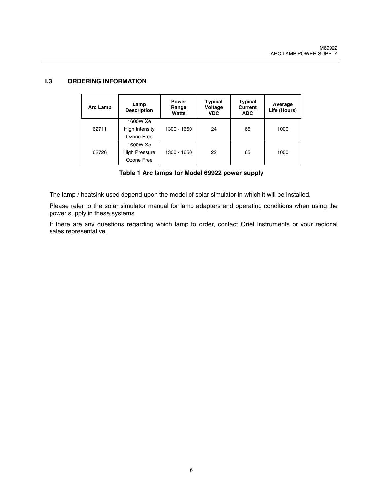#### **I.3 ORDERING INFORMATION**

| <b>Arc Lamp</b> | Lamp<br><b>Description</b>                     | <b>Power</b><br>Range<br>Watts | <b>Typical</b><br>Voltage<br><b>VDC</b> | <b>Typical</b><br><b>Current</b><br><b>ADC</b> | Average<br>Life (Hours) |
|-----------------|------------------------------------------------|--------------------------------|-----------------------------------------|------------------------------------------------|-------------------------|
| 62711           | 1600W Xe<br>High Intensity<br>Ozone Free       | 1300 - 1650                    | 24                                      | 65                                             | 1000                    |
| 62726           | 1600W Xe<br><b>High Pressure</b><br>Ozone Free | 1300 - 1650                    | 22                                      | 65                                             | 1000                    |

**Table 1 Arc lamps for Model 69922 power supply** 

The lamp / heatsink used depend upon the model of solar simulator in which it will be installed.

Please refer to the solar simulator manual for lamp adapters and operating conditions when using the power supply in these systems.

If there are any questions regarding which lamp to order, contact Oriel Instruments or your regional sales representative.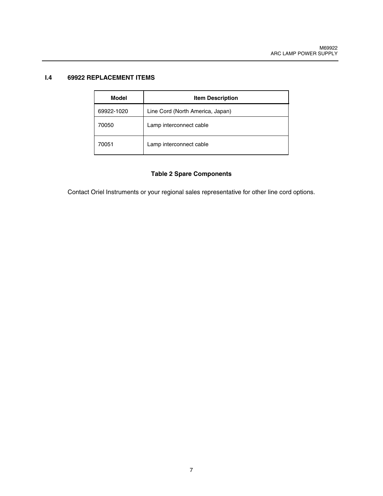## **I.4 69922 REPLACEMENT ITEMS**

| Model      | <b>Item Description</b>          |
|------------|----------------------------------|
| 69922-1020 | Line Cord (North America, Japan) |
| 70050      | Lamp interconnect cable          |
| 70051      | Lamp interconnect cable          |

## **Table 2 Spare Components**

Contact Oriel Instruments or your regional sales representative for other line cord options.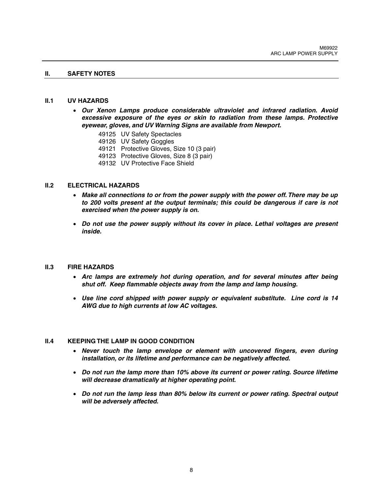#### **II. SAFETY NOTES**

#### **II.1 UV HAZARDS**

- *Our Xenon Lamps produce considerable ultraviolet and infrared radiation. Avoid excessive exposure of the eyes or skin to radiation from these lamps. Protective eyewear, gloves, and UV Warning Signs are available from Newport.* 
	- 49125 UV Safety Spectacles
	- 49126 UV Safety Goggles
	- 49121 Protective Gloves, Size 10 (3 pair)
	- 49123 Protective Gloves, Size 8 (3 pair)
	- 49132 UV Protective Face Shield

#### **II.2 ELECTRICAL HAZARDS**

- *Make all connections to or from the power supply with the power off. There may be up*  to 200 volts present at the output terminals; this could be dangerous if care is not *exercised when the power supply is on.*
- **•** Do not use the power supply without its cover in place. Lethal voltages are present *inside.*

#### **II.3 FIRE HAZARDS**

- *Arc lamps are extremely hot during operation, and for several minutes after being shut off. Keep flammable objects away from the lamp and lamp housing.*
- *Use line cord shipped with power supply or equivalent substitute. Line cord is 14 AWG due to high currents at low AC voltages.*

#### **II.4 KEEPING THE LAMP IN GOOD CONDITION**

- *Never touch the lamp envelope or element with uncovered fingers, even during installation, or its lifetime and performance can be negatively affected.*
- *Do not run the lamp more than 10% above its current or power rating. Source lifetime will decrease dramatically at higher operating point.*
- *Do not run the lamp less than 80% below its current or power rating. Spectral output will be adversely affected.*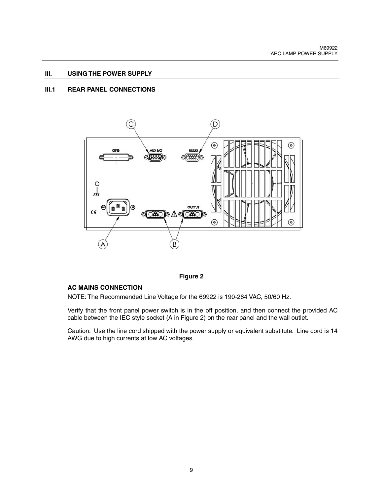#### **III. USING THE POWER SUPPLY**

## **III.1 REAR PANEL CONNECTIONS**



**Figure 2** 

## **AC MAINS CONNECTION**

NOTE: The Recommended Line Voltage for the 69922 is 190-264 VAC, 50/60 Hz.

Verify that the front panel power switch is in the off position, and then connect the provided AC cable between the IEC style socket (A in Figure 2) on the rear panel and the wall outlet.

Caution: Use the line cord shipped with the power supply or equivalent substitute. Line cord is 14 AWG due to high currents at low AC voltages.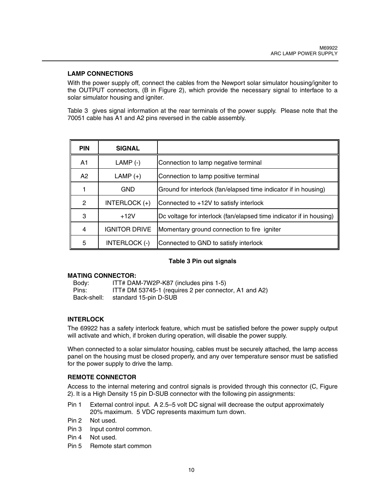## **LAMP CONNECTIONS**

With the power supply off, connect the cables from the Newport solar simulator housing/igniter to the OUTPUT connectors, (B in Figure 2), which provide the necessary signal to interface to a solar simulator housing and igniter.

Table 3 gives signal information at the rear terminals of the power supply. Please note that the 70051 cable has A1 and A2 pins reversed in the cable assembly.

| <b>PIN</b> | <b>SIGNAL</b>        |                                                                     |
|------------|----------------------|---------------------------------------------------------------------|
| A1         | $LAMP$ (-)           | Connection to lamp negative terminal                                |
| A2         | $LAMP (+)$           | Connection to lamp positive terminal                                |
|            | GND                  | Ground for interlock (fan/elapsed time indicator if in housing)     |
| 2          | INTERLOCK (+)        | Connected to +12V to satisfy interlock                              |
| 3          | $+12V$               | Dc voltage for interlock (fan/elapsed time indicator if in housing) |
| 4          | <b>IGNITOR DRIVE</b> | Momentary ground connection to fire igniter                         |
| 5          | INTERLOCK (-)        | Connected to GND to satisfy interlock                               |

## **Table 3 Pin out signals**

#### **MATING CONNECTOR:**

Body: ITT# DAM-7W2P-K87 (includes pins 1-5)<br>Pins: ITT# DM 53745-1 (requires 2 per connect ITT# DM 53745-1 (requires 2 per connector, A1 and A2) Back-shell: standard 15-pin D-SUB

## **INTERLOCK**

The 69922 has a safety interlock feature, which must be satisfied before the power supply output will activate and which, if broken during operation, will disable the power supply.

When connected to a solar simulator housing, cables must be securely attached, the lamp access panel on the housing must be closed properly, and any over temperature sensor must be satisfied for the power supply to drive the lamp.

#### **REMOTE CONNECTOR**

Access to the internal metering and control signals is provided through this connector (C, Figure 2). It is a High Density 15 pin D-SUB connector with the following pin assignments:

- Pin 1 External control input. A 2.5–5 volt DC signal will decrease the output approximately 20% maximum. 5 VDC represents maximum turn down.
- Pin 2 Not used.
- Pin 3 Input control common.
- Pin 4 Not used.
- Pin 5 Remote start common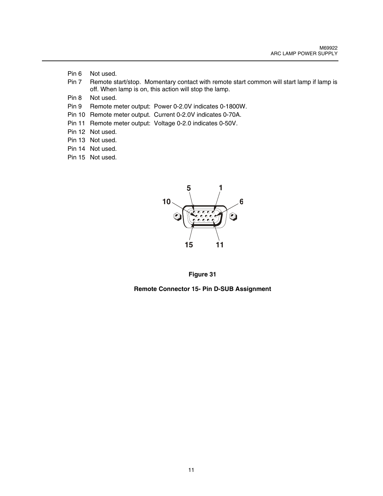- Pin 6 Not used.
- Pin 7 Remote start/stop. Momentary contact with remote start common will start lamp if lamp is off. When lamp is on, this action will stop the lamp.
- Pin 8 Not used.
- Pin 9 Remote meter output: Power 0-2.0V indicates 0-1800W.
- Pin 10 Remote meter output. Current 0-2.0V indicates 0-70A.
- Pin 11 Remote meter output: Voltage 0-2.0 indicates 0-50V.
- Pin 12 Not used.
- Pin 13 Not used.
- Pin 14 Not used.
- Pin 15 Not used.



**Figure 31** 

**Remote Connector 15- Pin D-SUB Assignment**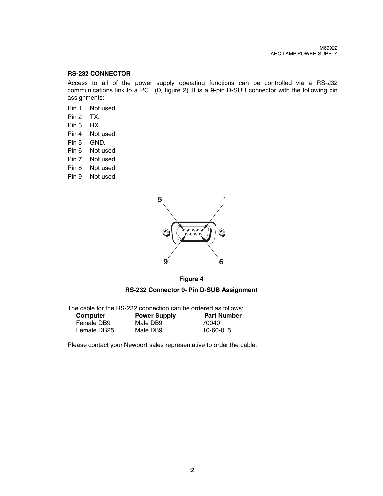## **RS-232 CONNECTOR**

Access to all of the power supply operating functions can be controlled via a RS-232 communications link to a PC. (D, figure 2). It is a 9-pin D-SUB connector with the following pin assignments:

- Pin 1 Not used.
- Pin 2 TX.
- Pin 3 RX.
- Pin 4 Not used.
- Pin 5 GND.
- Pin 6 Not used.
- Pin 7 Not used.
- Pin 8 Not used.
- Pin 9 Not used.





#### **RS-232 Connector 9- Pin D-SUB Assignment**

| The cable for the RS-232 connection can be ordered as follows: |                     |                    |  |
|----------------------------------------------------------------|---------------------|--------------------|--|
| Computer                                                       | <b>Power Supply</b> | <b>Part Number</b> |  |
| Female DB9                                                     | Male DB9            | 70040              |  |
| Female DB25                                                    | Male DB9            | 10-60-015          |  |

Please contact your Newport sales representative to order the cable.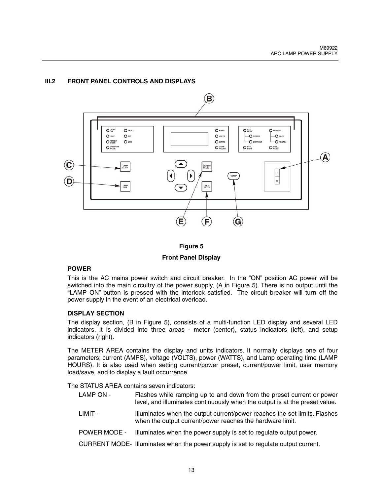## **III.2 FRONT PANEL CONTROLS AND DISPLAYS**



**Figure 5 Front Panel Display** 

## **POWER**

This is the AC mains power switch and circuit breaker. In the "ON" position AC power will be switched into the main circuitry of the power supply, (A in Figure 5). There is no output until the "LAMP ON" button is pressed with the interlock satisfied. The circuit breaker will turn off the power supply in the event of an electrical overload.

## **DISPLAY SECTION**

The display section, (B in Figure 5), consists of a multi-function LED display and several LED indicators. It is divided into three areas - meter (center), status indicators (left), and setup indicators (right).

The METER AREA contains the display and units indicators. It normally displays one of four parameters; current (AMPS), voltage (VOLTS), power (WATTS), and Lamp operating time (LAMP HOURS). It is also used when setting current/power preset, current/power limit, user memory load/save, and to display a fault occurrence.

The STATUS AREA contains seven indicators:

- LAMP ON Flashes while ramping up to and down from the preset current or power level, and illuminates continuously when the output is at the preset value.
- LIMIT Illuminates when the output current/power reaches the set limits. Flashes when the output current/power reaches the hardware limit.
- POWER MODE Illuminates when the power supply is set to regulate output power.
- CURRENT MODE- Illuminates when the power supply is set to regulate output current.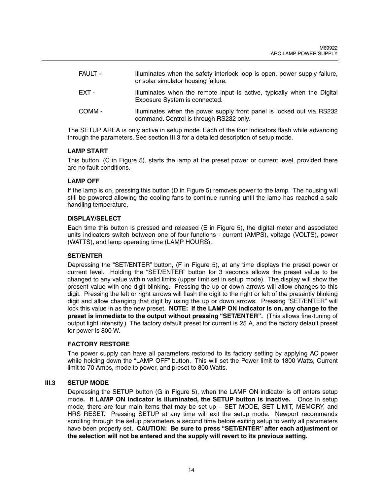| <b>FAULT -</b> | Illuminates when the safety interlock loop is open, power supply failure,<br>or solar simulator housing failure. |
|----------------|------------------------------------------------------------------------------------------------------------------|
| EXT -          | Illuminates when the remote input is active, typically when the Digital<br>Exposure System is connected.         |
| COMM -         | Illuminates when the power supply front panel is locked out via RS232<br>command. Control is through RS232 only. |

The SETUP AREA is only active in setup mode. Each of the four indicators flash while advancing through the parameters. See section III.3 for a detailed description of setup mode.

#### **LAMP START**

This button, (C in Figure 5), starts the lamp at the preset power or current level, provided there are no fault conditions.

## **LAMP OFF**

If the lamp is on, pressing this button (D in Figure 5) removes power to the lamp. The housing will still be powered allowing the cooling fans to continue running until the lamp has reached a safe handling temperature.

#### **DISPLAY/SELECT**

Each time this button is pressed and released (E in Figure 5), the digital meter and associated units indicators switch between one of four functions - current (AMPS), voltage (VOLTS), power (WATTS), and lamp operating time (LAMP HOURS).

#### **SET/ENTER**

Depressing the "SET/ENTER" button, (F in Figure 5), at any time displays the preset power or current level. Holding the "SET/ENTER" button for 3 seconds allows the preset value to be changed to any value within valid limits (upper limit set in setup mode). The display will show the present value with one digit blinking. Pressing the up or down arrows will allow changes to this digit. Pressing the left or right arrows will flash the digit to the right or left of the presently blinking digit and allow changing that digit by using the up or down arrows. Pressing "SET/ENTER" will lock this value in as the new preset. **NOTE: If the LAMP ON indicator is on, any change to the preset is immediate to the output without pressing "SET/ENTER".** (This allows fine-tuning of output light intensity.) The factory default preset for current is 25 A, and the factory default preset for power is 800 W.

#### **FACTORY RESTORE**

The power supply can have all parameters restored to its factory setting by applying AC power while holding down the "LAMP OFF" button. This will set the Power limit to 1800 Watts, Current limit to 70 Amps, mode to power, and preset to 800 Watts.

#### **III.3 SETUP MODE**

Depressing the SETUP button (G in Figure 5), when the LAMP ON indicator is off enters setup mode**. If LAMP ON indicator is illuminated, the SETUP button is inactive.** Once in setup mode, there are four main items that may be set up – SET MODE, SET LIMIT, MEMORY, and HRS RESET. Pressing SETUP at any time will exit the setup mode. Newport recommends scrolling through the setup parameters a second time before exiting setup to verify all parameters have been properly set. **CAUTION: Be sure to press "SET/ENTER" after each adjustment or the selection will not be entered and the supply will revert to its previous setting.**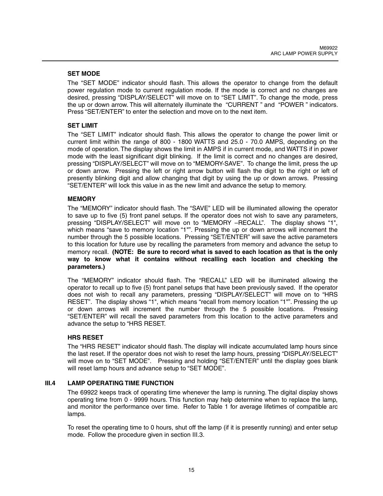## **SET MODE**

The "SET MODE" indicator should flash. This allows the operator to change from the default power regulation mode to current regulation mode. If the mode is correct and no changes are desired, pressing "DISPLAY/SELECT" will move on to "SET LIMIT". To change the mode, press the up or down arrow. This will alternately illuminate the "CURRENT " and "POWER " indicators. Press "SET/ENTER" to enter the selection and move on to the next item.

## **SET LIMIT**

The "SET LIMIT" indicator should flash. This allows the operator to change the power limit or current limit within the range of 800 - 1800 WATTS and 25.0 - 70.0 AMPS, depending on the mode of operation. The display shows the limit in AMPS if in current mode, and WATTS if in power mode with the least significant digit blinking. If the limit is correct and no changes are desired, pressing "DISPLAY/SELECT" will move on to "MEMORY-SAVE". To change the limit, press the up or down arrow. Pressing the left or right arrow button will flash the digit to the right or left of presently blinking digit and allow changing that digit by using the up or down arrows. Pressing "SET/ENTER" will lock this value in as the new limit and advance the setup to memory.

## **MEMORY**

The "MEMORY" indicator should flash. The "SAVE" LED will be illuminated allowing the operator to save up to five (5) front panel setups. If the operator does not wish to save any parameters, pressing "DISPLAY/SELECT" will move on to "MEMORY –RECALL". The display shows "1", which means "save to memory location "1"". Pressing the up or down arrows will increment the number through the 5 possible locations. Pressing "SET/ENTER" will save the active parameters to this location for future use by recalling the parameters from memory and advance the setup to memory recall. **(NOTE: Be sure to record what is saved to each location as that is the only way to know what it contains without recalling each location and checking the parameters.)** 

The "MEMORY" indicator should flash. The "RECALL" LED will be illuminated allowing the operator to recall up to five (5) front panel setups that have been previously saved. If the operator does not wish to recall any parameters, pressing "DISPLAY/SELECT" will move on to "HRS RESET". The display shows "1", which means "recall from memory location "1"". Pressing the up or down arrows will increment the number through the 5 possible locations. Pressing "SET/ENTER" will recall the saved parameters from this location to the active parameters and advance the setup to "HRS RESET.

## **HRS RESET**

The "HRS RESET" indicator should flash. The display will indicate accumulated lamp hours since the last reset. If the operator does not wish to reset the lamp hours, pressing "DISPLAY/SELECT" will move on to "SET MODE". Pressing and holding "SET/ENTER" until the display goes blank will reset lamp hours and advance setup to "SET MODE".

## **III.4 LAMP OPERATING TIME FUNCTION**

The 69922 keeps track of operating time whenever the lamp is running. The digital display shows operating time from 0 - 9999 hours. This function may help determine when to replace the lamp, and monitor the performance over time. Refer to Table 1 for average lifetimes of compatible arc lamps.

To reset the operating time to 0 hours, shut off the lamp (if it is presently running) and enter setup mode. Follow the procedure given in section III.3.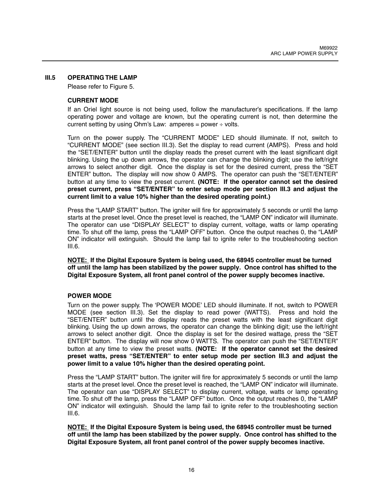#### **III.5 OPERATING THE LAMP**

Please refer to Figure 5.

#### **CURRENT MODE**

If an Oriel light source is not being used, follow the manufacturer's specifications. If the lamp operating power and voltage are known, but the operating current is not, then determine the current setting by using Ohm's Law: amperes = power  $\div$  volts.

Turn on the power supply. The "CURRENT MODE" LED should illuminate. If not, switch to "CURRENT MODE" (see section III.3). Set the display to read current (AMPS). Press and hold the "SET/ENTER" button until the display reads the preset current with the least significant digit blinking. Using the up down arrows, the operator can change the blinking digit; use the left/right arrows to select another digit. Once the display is set for the desired current, press the "SET ENTER" button**.** The display will now show 0 AMPS. The operator can push the "SET/ENTER" button at any time to view the preset current. **(NOTE: If the operator cannot set the desired preset current, press "SET/ENTER" to enter setup mode per section III.3 and adjust the current limit to a value 10% higher than the desired operating point.)**

Press the "LAMP START" button. The igniter will fire for approximately 5 seconds or until the lamp starts at the preset level. Once the preset level is reached, the "LAMP ON" indicator will illuminate. The operator can use "DISPLAY SELECT" to display current, voltage, watts or lamp operating time. To shut off the lamp, press the "LAMP OFF" button. Once the output reaches 0, the "LAMP ON" indicator will extinguish. Should the lamp fail to ignite refer to the troubleshooting section  $III.6.$ 

**NOTE: If the Digital Exposure System is being used, the 68945 controller must be turned off until the lamp has been stabilized by the power supply. Once control has shifted to the Digital Exposure System, all front panel control of the power supply becomes inactive.** 

#### **POWER MODE**

Turn on the power supply. The 'POWER MODE' LED should illuminate. If not, switch to POWER MODE (see section III.3). Set the display to read power (WATTS). Press and hold the "SET/ENTER" button until the display reads the preset watts with the least significant digit blinking. Using the up down arrows, the operator can change the blinking digit; use the left/right arrows to select another digit. Once the display is set for the desired wattage, press the "SET ENTER" button.The display will now show 0 WATTS. The operator can push the "SET/ENTER" button at any time to view the preset watts. **(NOTE: If the operator cannot set the desired preset watts, press "SET/ENTER" to enter setup mode per section III.3 and adjust the power limit to a value 10% higher than the desired operating point.**

Press the "LAMP START" button. The igniter will fire for approximately 5 seconds or until the lamp starts at the preset level. Once the preset level is reached, the "LAMP ON" indicator will illuminate. The operator can use "DISPLAY SELECT" to display current, voltage, watts or lamp operating time. To shut off the lamp, press the "LAMP OFF" button. Once the output reaches 0, the "LAMP ON" indicator will extinguish. Should the lamp fail to ignite refer to the troubleshooting section III.6.

**NOTE: If the Digital Exposure System is being used, the 68945 controller must be turned off until the lamp has been stabilized by the power supply. Once control has shifted to the Digital Exposure System, all front panel control of the power supply becomes inactive.**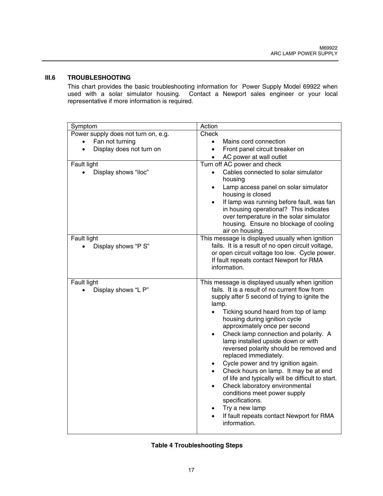## **III.6 TROUBLESHOOTING**

This chart provides the basic troubleshooting information for Power Supply Model 69922 when used with a solar simulator housing. Contact a Newport sales engineer or your local representative if more information is required.

| Symptom                                                                                                                   | Action                                                                                                                                                                                                                                                                                                                                                                                                                                                                                                                                                                                                                                                                                                                                                                              |
|---------------------------------------------------------------------------------------------------------------------------|-------------------------------------------------------------------------------------------------------------------------------------------------------------------------------------------------------------------------------------------------------------------------------------------------------------------------------------------------------------------------------------------------------------------------------------------------------------------------------------------------------------------------------------------------------------------------------------------------------------------------------------------------------------------------------------------------------------------------------------------------------------------------------------|
| Power supply does not turn on, e.g.<br>Fan not turning<br>Display does not turn on<br>Fault light<br>Display shows "iloc" | Check<br>Mains cord connection<br>$\bullet$<br>Front panel circuit breaker on<br>$\bullet$<br>AC power at wall outlet<br>Turn off AC power and check<br>Cables connected to solar simulator<br>housing                                                                                                                                                                                                                                                                                                                                                                                                                                                                                                                                                                              |
|                                                                                                                           | Lamp access panel on solar simulator<br>housing is closed<br>If lamp was running before fault, was fan<br>$\bullet$<br>in housing operational? This indicates<br>over temperature in the solar simulator<br>housing. Ensure no blockage of cooling<br>air on housing.                                                                                                                                                                                                                                                                                                                                                                                                                                                                                                               |
| Fault light<br>Display shows "P S"                                                                                        | This message is displayed usually when ignition<br>fails. It is a result of no open circuit voltage,<br>or open circuit voltage too low. Cycle power.<br>If fault repeats contact Newport for RMA<br>information.                                                                                                                                                                                                                                                                                                                                                                                                                                                                                                                                                                   |
| Fault light<br>Display shows "L P"                                                                                        | This message is displayed usually when ignition<br>fails. It is a result of no current flow from<br>supply after 5 second of trying to ignite the<br>lamp.<br>Ticking sound heard from top of lamp<br>$\bullet$<br>housing during ignition cycle<br>approximately once per second<br>Check lamp connection and polarity. A<br>$\bullet$<br>lamp installed upside down or with<br>reversed polarity should be removed and<br>replaced immediately.<br>Cycle power and try ignition again.<br>$\bullet$<br>Check hours on lamp. It may be at end<br>of life and typically will be difficult to start.<br>Check laboratory environmental<br>$\bullet$<br>conditions meet power supply<br>specifications.<br>Try a new lamp<br>If fault repeats contact Newport for RMA<br>information. |

#### **Table 4 Troubleshooting Steps**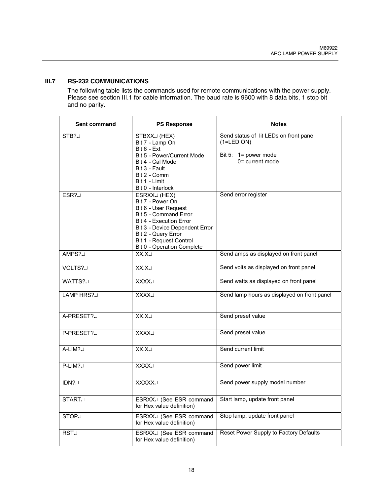## **III.7 RS-232 COMMUNICATIONS**

The following table lists the commands used for remote communications with the power supply. Please see section III.1 for cable information. The baud rate is 9600 with 8 data bits, 1 stop bit and no parity.

| Sent command  | <b>PS Response</b>                                                                                                                                                                                                                    | <b>Notes</b>                                           |
|---------------|---------------------------------------------------------------------------------------------------------------------------------------------------------------------------------------------------------------------------------------|--------------------------------------------------------|
| $STB? \Box$   | STBXXJ(HEX)<br>Bit 7 - Lamp On<br>Bit 6 - Ext                                                                                                                                                                                         | Send status of lit LEDs on front panel<br>$(1=LED ON)$ |
|               | Bit 5 - Power/Current Mode<br>Bit 4 - Cal Mode<br>Bit 3 - Fault                                                                                                                                                                       | Bit 5: $1 = power mode$<br>$0$ = current mode          |
|               | Bit 2 - Comm<br>Bit 1 - Limit<br>Bit 0 - Interlock                                                                                                                                                                                    |                                                        |
| ESR?          | ESRXX. (HEX)<br>Bit 7 - Power On<br>Bit 6 - User Request<br>Bit 5 - Command Error<br><b>Bit 4 - Execution Error</b><br>Bit 3 - Device Dependent Error<br>Bit 2 - Query Error<br>Bit 1 - Request Control<br>Bit 0 - Operation Complete | Send error register                                    |
| AMPS?         | $XX.X \cup$                                                                                                                                                                                                                           | Send amps as displayed on front panel                  |
| VOLTS?J       | XX.X                                                                                                                                                                                                                                  | Send volts as displayed on front panel                 |
| WATTS?        | XXXX.                                                                                                                                                                                                                                 | Send watts as displayed on front panel                 |
| LAMP HRS?     | XXXX.                                                                                                                                                                                                                                 | Send lamp hours as displayed on front panel            |
| A-PRESET?     | $XX.X \cup$                                                                                                                                                                                                                           | Send preset value                                      |
| P-PRESET?     | XXXX.                                                                                                                                                                                                                                 | Send preset value                                      |
| A-LIM?        | XX.X                                                                                                                                                                                                                                  | Send current limit                                     |
| P-LIM?        | XXXX.                                                                                                                                                                                                                                 | Send power limit                                       |
| IDN?          | XXXXX.                                                                                                                                                                                                                                | Send power supply model number                         |
| <b>START.</b> | ESRXX. (See ESR command<br>for Hex value definition)                                                                                                                                                                                  | Start lamp, update front panel                         |
| STOP.         | ESRXX. (See ESR command<br>for Hex value definition)                                                                                                                                                                                  | Stop lamp, update front panel                          |
| RST.          | ESRXX. (See ESR command<br>for Hex value definition)                                                                                                                                                                                  | Reset Power Supply to Factory Defaults                 |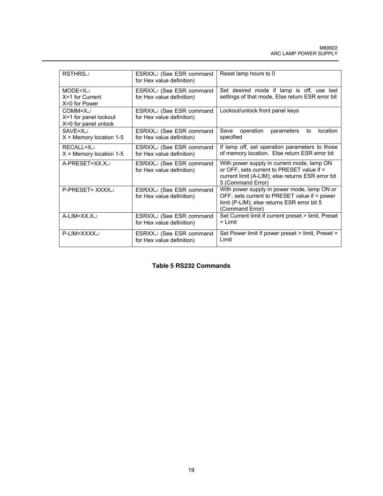| RSTHRS.                                                   | ESRXX. (See ESR command<br>for Hex value definition) | Reset lamp hours to 0                                                                                                                                             |
|-----------------------------------------------------------|------------------------------------------------------|-------------------------------------------------------------------------------------------------------------------------------------------------------------------|
| $MODE = X \cup$<br>$X=1$ for Current<br>X=0 for Power     | ESRXX. (See ESR command<br>for Hex value definition) | Set desired mode if lamp is off, use last<br>settings of that mode, Else return ESR error bit                                                                     |
| $COMM=X$<br>X=1 for panel lockout<br>X=0 for panel unlock | ESRXX. (See ESR command<br>for Hex value definition) | Lockout/unlock front panel keys                                                                                                                                   |
| $SAVF = X \Box$<br>$X =$ Memory location 1-5              | ESRXX. (See ESR command<br>for Hex value definition) | Save<br>operation<br>location<br>parameters<br>to<br>specified                                                                                                    |
| $RFCAI I = X \Box$<br>$X =$ Memory location 1-5           | ESRXXJ (See ESR command<br>for Hex value definition) | If lamp off, set operation parameters to those<br>of memory location. Else return ESR error bit                                                                   |
| A-PRESET=XX.X.                                            | ESRXX. (See ESR command<br>for Hex value definition) | With power supply in current mode, lamp ON<br>or OFF, sets current to PRESET value if <<br>current limit (A-LIM); else returns ESR error bit<br>5 (Command Error) |
| P-PRESET= XXXXJ                                           | ESRXX. (See ESR command<br>for Hex value definition) | With power supply in power mode, lamp ON or<br>OFF, sets current to PRESET value if < power<br>limit (P-LIM); else returns ESR error bit 5<br>(Command Error)     |
| $A-LIM=XX.X$                                              | ESRXX. (See ESR command<br>for Hex value definition) | Set Current limit if current preset > limit, Preset<br>$= 1$ imit                                                                                                 |
| P-LIM=XXXX.                                               | ESRXX. (See ESR command<br>for Hex value definition) | Set Power limit if power preset > limit, Preset =<br>Limit                                                                                                        |

## **Table 5 RS232 Commands**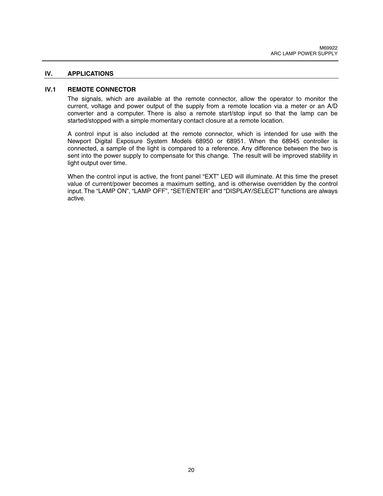#### **IV. APPLICATIONS**

#### **IV.1 REMOTE CONNECTOR**

The signals, which are available at the remote connector, allow the operator to monitor the current, voltage and power output of the supply from a remote location via a meter or an A/D converter and a computer. There is also a remote start/stop input so that the lamp can be started/stopped with a simple momentary contact closure at a remote location.

A control input is also included at the remote connector, which is intended for use with the Newport Digital Exposure System Models 68950 or 68951. When the 68945 controller is connected, a sample of the light is compared to a reference. Any difference between the two is sent into the power supply to compensate for this change. The result will be improved stability in light output over time.

When the control input is active, the front panel "EXT" LED will illuminate. At this time the preset value of current/power becomes a maximum setting, and is otherwise overridden by the control input. The "LAMP ON", "LAMP OFF", "SET/ENTER" and "DISPLAY/SELECT" functions are always active.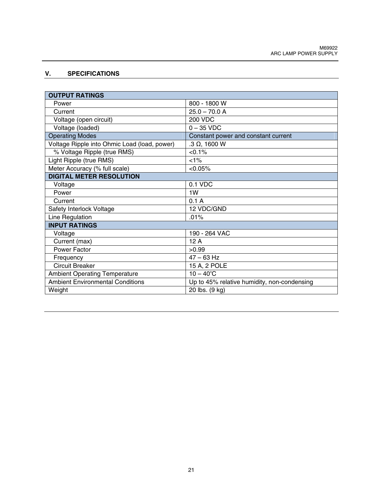## **V. SPECIFICATIONS**

| <b>OUTPUT RATINGS</b>                        |                                             |  |  |
|----------------------------------------------|---------------------------------------------|--|--|
| Power                                        | 800 - 1800 W                                |  |  |
| Current                                      | $25.0 - 70.0 A$                             |  |  |
| Voltage (open circuit)                       | <b>200 VDC</b>                              |  |  |
| Voltage (loaded)                             | $0 - 35$ VDC                                |  |  |
| <b>Operating Modes</b>                       | Constant power and constant current         |  |  |
| Voltage Ripple into Ohmic Load (load, power) | $.3 \Omega$ , 1600 W                        |  |  |
| % Voltage Ripple (true RMS)                  | $< 0.1\%$                                   |  |  |
| Light Ripple (true RMS)                      | 1%                                          |  |  |
| Meter Accuracy (% full scale)                | < 0.05%                                     |  |  |
| <b>DIGITAL METER RESOLUTION</b>              |                                             |  |  |
| Voltage                                      | 0.1 VDC                                     |  |  |
| Power                                        | 1W                                          |  |  |
| Current                                      | 0.1A                                        |  |  |
| Safety Interlock Voltage                     | 12 VDC/GND                                  |  |  |
| Line Regulation                              | .01%                                        |  |  |
| <b>INPUT RATINGS</b>                         |                                             |  |  |
| Voltage                                      | 190 - 264 VAC                               |  |  |
| Current (max)                                | 12A                                         |  |  |
| Power Factor                                 | >0.99                                       |  |  |
| Frequency                                    | $47 - 63$ Hz                                |  |  |
| <b>Circuit Breaker</b>                       | 15 A, 2 POLE                                |  |  |
| <b>Ambient Operating Temperature</b>         | $10 - 40^{\circ}$ C                         |  |  |
| <b>Ambient Environmental Conditions</b>      | Up to 45% relative humidity, non-condensing |  |  |
| Weight                                       | 20 lbs. (9 kg)                              |  |  |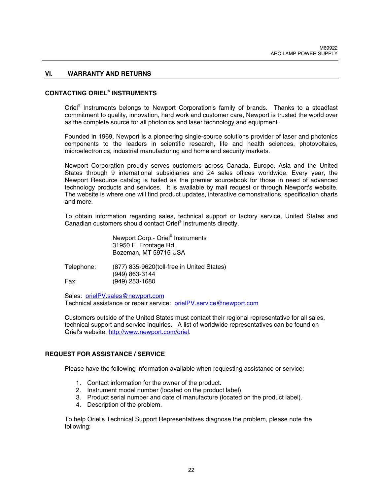#### **VI. WARRANTY AND RETURNS**

## **CONTACTING ORIEL® INSTRUMENTS**

Oriel® Instruments belongs to Newport Corporation's family of brands. Thanks to a steadfast commitment to quality, innovation, hard work and customer care, Newport is trusted the world over as the complete source for all photonics and laser technology and equipment.

Founded in 1969, Newport is a pioneering single-source solutions provider of laser and photonics components to the leaders in scientific research, life and health sciences, photovoltaics, microelectronics, industrial manufacturing and homeland security markets.

Newport Corporation proudly serves customers across Canada, Europe, Asia and the United States through 9 international subsidiaries and 24 sales offices worldwide. Every year, the Newport Resource catalog is hailed as the premier sourcebook for those in need of advanced technology products and services. It is available by mail request or through Newport's website. The website is where one will find product updates, interactive demonstrations, specification charts and more.

To obtain information regarding sales, technical support or factory service, United States and Canadian customers should contact Oriel® Instruments directly.

> Newport Corp.- Oriel® Instruments 31950 E. Frontage Rd. Bozeman, MT 59715 USA

Telephone: (877) 835-9620(toll-free in United States) (949) 863-3144 Fax: (949) 253-1680

Sales: orielPV.sales@newport.com Technical assistance or repair service: orielPV.service@newport.com

Customers outside of the United States must contact their regional representative for all sales, technical support and service inquiries. A list of worldwide representatives can be found on Oriel's website: http://www.newport.com/oriel.

#### **REQUEST FOR ASSISTANCE / SERVICE**

Please have the following information available when requesting assistance or service:

- 1. Contact information for the owner of the product.
- 2. Instrument model number (located on the product label).
- 3. Product serial number and date of manufacture (located on the product label).
- 4. Description of the problem.

To help Oriel's Technical Support Representatives diagnose the problem, please note the following: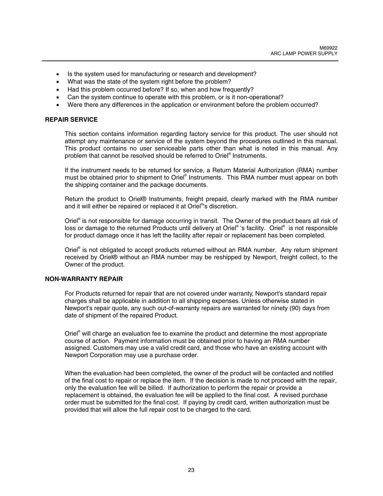- Is the system used for manufacturing or research and development?
- What was the state of the system right before the problem?
- Had this problem occurred before? If so, when and how frequently?
- Can the system continue to operate with this problem, or is it non-operational?
- Were there any differences in the application or environment before the problem occurred?

#### **REPAIR SERVICE**

This section contains information regarding factory service for this product. The user should not attempt any maintenance or service of the system beyond the procedures outlined in this manual. This product contains no user serviceable parts other than what is noted in this manual. Any problem that cannot be resolved should be referred to Oriel® Instruments.

If the instrument needs to be returned for service, a Return Material Authorization (RMA) number must be obtained prior to shipment to Oriel® Instruments. This RMA number must appear on both the shipping container and the package documents.

Return the product to Oriel® Instruments, freight prepaid, clearly marked with the RMA number and it will either be repaired or replaced it at Oriel<sup>®</sup>'s discretion.

Oriel® is not responsible for damage occurring in transit. The Owner of the product bears all risk of loss or damage to the returned Products until delivery at Oriel® 's facility. Oriel® is not responsible for product damage once it has left the facility after repair or replacement has been completed.

Oriel® is not obligated to accept products returned without an RMA number. Any return shipment received by Oriel® without an RMA number may be reshipped by Newport, freight collect, to the Owner of the product.

#### **NON-WARRANTY REPAIR**

For Products returned for repair that are not covered under warranty, Newport's standard repair charges shall be applicable in addition to all shipping expenses. Unless otherwise stated in Newport's repair quote, any such out-of-warranty repairs are warranted for ninety (90) days from date of shipment of the repaired Product.

Oriel® will charge an evaluation fee to examine the product and determine the most appropriate course of action. Payment information must be obtained prior to having an RMA number assigned. Customers may use a valid credit card, and those who have an existing account with Newport Corporation may use a purchase order.

When the evaluation had been completed, the owner of the product will be contacted and notified of the final cost to repair or replace the item. If the decision is made to not proceed with the repair, only the evaluation fee will be billed. If authorization to perform the repair or provide a replacement is obtained, the evaluation fee will be applied to the final cost. A revised purchase order must be submitted for the final cost. If paying by credit card, written authorization must be provided that will allow the full repair cost to be charged to the card.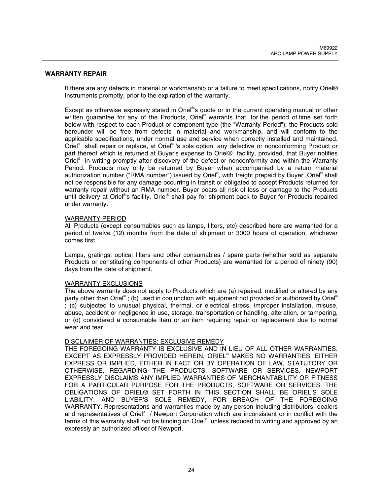#### **WARRANTY REPAIR**

If there are any defects in material or workmanship or a failure to meet specifications, notify Oriel® Instruments promptly, prior to the expiration of the warranty.

Except as otherwise expressly stated in Oriel<sup>®</sup>'s quote or in the current operating manual or other written guarantee for any of the Products, Oriel® warrants that, for the period of time set forth below with respect to each Product or component type (the "Warranty Period"), the Products sold hereunder will be free from defects in material and workmanship, and will conform to the applicable specifications, under normal use and service when correctly installed and maintained. Oriel<sup>®</sup> shall repair or replace, at Oriel<sup>®</sup> 's sole option, any defective or nonconforming Product or part thereof which is returned at Buyer's expense to Oriel® facility, provided, that Buyer notifies Oriel® in writing promptly after discovery of the defect or nonconformity and within the Warranty Period. Products may only be returned by Buyer when accompanied by a return material authorization number ("RMA number") issued by Oriel®, with freight prepaid by Buyer. Oriel® shall not be responsible for any damage occurring in transit or obligated to accept Products returned for warranty repair without an RMA number. Buyer bears all risk of loss or damage to the Products until delivery at Oriel®'s facility. Oriel® shall pay for shipment back to Buyer for Products repaired under warranty.

#### WARRANTY PERIOD

All Products (except consumables such as lamps, filters, etc) described here are warranted for a period of twelve (12) months from the date of shipment or 3000 hours of operation, whichever comes first.

Lamps, gratings, optical filters and other consumables / spare parts (whether sold as separate Products or constituting components of other Products) are warranted for a period of ninety (90) days from the date of shipment.

#### WARRANTY EXCLUSIONS

The above warranty does not apply to Products which are (a) repaired, modified or altered by any party other than Oriel® ; (b) used in conjunction with equipment not provided or authorized by Oriel® ; (c) subjected to unusual physical, thermal, or electrical stress, improper installation, misuse, abuse, accident or negligence in use, storage, transportation or handling, alteration, or tampering, or (d) considered a consumable item or an item requiring repair or replacement due to normal wear and tear.

## DISCLAIMER OF WARRANTIES; EXCLUSIVE REMEDY

THE FOREGOING WARRANTY IS EXCLUSIVE AND IN LIEU OF ALL OTHER WARRANTIES. EXCEPT AS EXPRESSLY PROVIDED HEREIN, ORIEL® MAKES NO WARRANTIES, EITHER EXPRESS OR IMPLIED, EITHER IN FACT OR BY OPERATION OF LAW, STATUTORY OR OTHERWISE, REGARDING THE PRODUCTS, SOFTWARE OR SERVICES. NEWPORT EXPRESSLY DISCLAIMS ANY IMPLIED WARRANTIES OF MERCHANTABILITY OR FITNESS FOR A PARTICULAR PURPOSE FOR THE PRODUCTS, SOFTWARE OR SERVICES. THE OBLIGATIONS OF ORIEL® SET FORTH IN THIS SECTION SHALL BE ORIEL'S SOLE LIABILITY, AND BUYER'S SOLE REMEDY, FOR BREACH OF THE FOREGOING WARRANTY. Representations and warranties made by any person including distributors, dealers and representatives of Oriel® / Newport Corporation which are inconsistent or in conflict with the terms of this warranty shall not be binding on Oriel® unless reduced to writing and approved by an expressly an authorized officer of Newport.